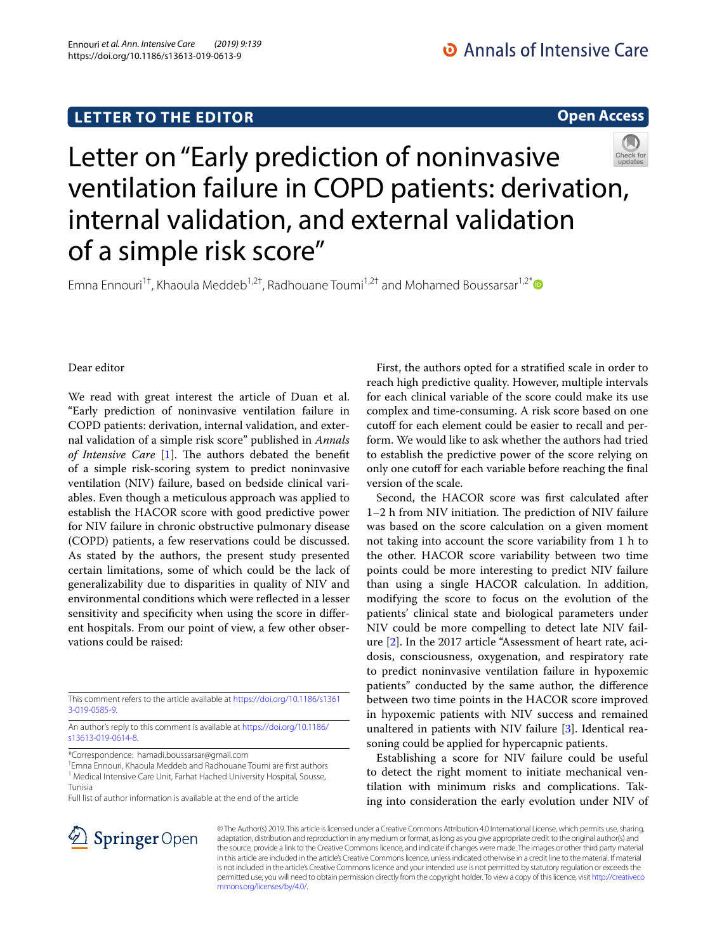# **LETTER TO THE EDITOR**

**Open Access**

# Letter on "Early prediction of noninvasive ventilation failure in COPD patients: derivation, internal validation, and external validation of a simple risk score"

Emna Ennouri<sup>1†</sup>, Khaoula Meddeb<sup>1,2†</sup>, Radhouane Toumi<sup>1,2†</sup> and Mohamed Boussarsar<sup>1,2[\\*](http://orcid.org/0000-0002-7557-2156)</sup>



We read with great interest the article of Duan et al. "Early prediction of noninvasive ventilation failure in COPD patients: derivation, internal validation, and external validation of a simple risk score" published in *Annals of Intensive Care* [[1\]](#page-1-0). The authors debated the benefit of a simple risk-scoring system to predict noninvasive ventilation (NIV) failure, based on bedside clinical variables. Even though a meticulous approach was applied to establish the HACOR score with good predictive power for NIV failure in chronic obstructive pulmonary disease (COPD) patients, a few reservations could be discussed. As stated by the authors, the present study presented certain limitations, some of which could be the lack of generalizability due to disparities in quality of NIV and environmental conditions which were refected in a lesser sensitivity and specifcity when using the score in diferent hospitals. From our point of view, a few other observations could be raised:

This comment refers to the article available at [https://doi.org/10.1186/s1361](https://doi.org/10.1186/s13613-019-0585-9) [3-019-0585-9](https://doi.org/10.1186/s13613-019-0585-9).

An author's reply to this comment is available at [https://doi.org/10.1186/](https://doi.org/10.1186/s13613-019-0614-8) [s13613-019-0614-8.](https://doi.org/10.1186/s13613-019-0614-8)

\*Correspondence: hamadi.boussarsar@gmail.com

† Emna Ennouri, Khaoula Meddeb and Radhouane Toumi are frst authors <sup>1</sup> Medical Intensive Care Unit, Farhat Hached University Hospital, Sousse, Tunisia

Full list of author information is available at the end of the article

First, the authors opted for a stratifed scale in order to reach high predictive quality. However, multiple intervals for each clinical variable of the score could make its use complex and time-consuming. A risk score based on one cutoff for each element could be easier to recall and perform. We would like to ask whether the authors had tried to establish the predictive power of the score relying on only one cutoff for each variable before reaching the final version of the scale.

Second, the HACOR score was frst calculated after 1–2 h from NIV initiation. The prediction of NIV failure was based on the score calculation on a given moment not taking into account the score variability from 1 h to the other. HACOR score variability between two time points could be more interesting to predict NIV failure than using a single HACOR calculation. In addition, modifying the score to focus on the evolution of the patients' clinical state and biological parameters under NIV could be more compelling to detect late NIV failure [\[2\]](#page-1-1). In the 2017 article "Assessment of heart rate, acidosis, consciousness, oxygenation, and respiratory rate to predict noninvasive ventilation failure in hypoxemic patients" conducted by the same author, the diference between two time points in the HACOR score improved in hypoxemic patients with NIV success and remained unaltered in patients with NIV failure [[3\]](#page-1-2). Identical reasoning could be applied for hypercapnic patients.

Establishing a score for NIV failure could be useful to detect the right moment to initiate mechanical ventilation with minimum risks and complications. Taking into consideration the early evolution under NIV of



© The Author(s) 2019. This article is licensed under a Creative Commons Attribution 4.0 International License, which permits use, sharing, adaptation, distribution and reproduction in any medium or format, as long as you give appropriate credit to the original author(s) and the source, provide a link to the Creative Commons licence, and indicate if changes were made. The images or other third party material in this article are included in the article's Creative Commons licence, unless indicated otherwise in a credit line to the material. If material is not included in the article's Creative Commons licence and your intended use is not permitted by statutory regulation or exceeds the permitted use, you will need to obtain permission directly from the copyright holder. To view a copy of this licence, visit [http://creativeco](http://creativecommons.org/licenses/by/4.0/) [mmons.org/licenses/by/4.0/.](http://creativecommons.org/licenses/by/4.0/)